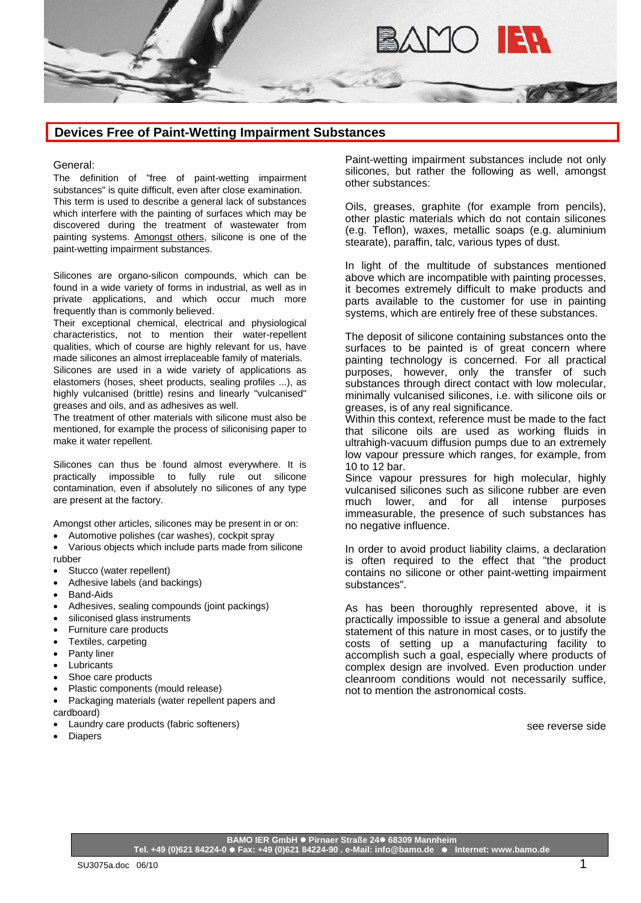

## **Devices Free of Paint-Wetting Impairment Substances**

## General:

The definition of "free of paint-wetting impairment substances" is quite difficult, even after close examination. This term is used to describe a general lack of substances which interfere with the painting of surfaces which may be discovered during the treatment of wastewater from painting systems. Amongst others, silicone is one of the paint-wetting impairment substances.

Silicones are organo-silicon compounds, which can be found in a wide variety of forms in industrial, as well as in private applications, and which occur much more frequently than is commonly believed.

Their exceptional chemical, electrical and physiological characteristics, not to mention their water-repellent qualities, which of course are highly relevant for us, have made silicones an almost irreplaceable family of materials. Silicones are used in a wide variety of applications as elastomers (hoses, sheet products, sealing profiles ...), as highly vulcanised (brittle) resins and linearly "vulcanised" greases and oils, and as adhesives as well.

The treatment of other materials with silicone must also be mentioned, for example the process of siliconising paper to make it water repellent.

Silicones can thus be found almost everywhere. It is practically impossible to fully rule out silicone contamination, even if absolutely no silicones of any type are present at the factory.

Amongst other articles, silicones may be present in or on:

- Automotive polishes (car washes), cockpit spray
- Various objects which include parts made from silicone rubber
- Stucco (water repellent)
- Adhesive labels (and backings)
- Band-Aids
- Adhesives, sealing compounds (joint packings)
- siliconised glass instruments
- Furniture care products
- Textiles, carpeting
- Panty liner
- **Lubricants**
- Shoe care products
- Plastic components (mould release)
- Packaging materials (water repellent papers and cardboard)
- Laundry care products (fabric softeners)
- **Diapers**

Paint-wetting impairment substances include not only silicones, but rather the following as well, amongst other substances:

Oils, greases, graphite (for example from pencils), other plastic materials which do not contain silicones (e.g. Teflon), waxes, metallic soaps (e.g. aluminium stearate), paraffin, talc, various types of dust.

In light of the multitude of substances mentioned above which are incompatible with painting processes, it becomes extremely difficult to make products and parts available to the customer for use in painting systems, which are entirely free of these substances.

The deposit of silicone containing substances onto the surfaces to be painted is of great concern where painting technology is concerned. For all practical purposes, however, only the transfer of such substances through direct contact with low molecular, minimally vulcanised silicones, i.e. with silicone oils or greases, is of any real significance.

Within this context, reference must be made to the fact that silicone oils are used as working fluids in ultrahigh-vacuum diffusion pumps due to an extremely low vapour pressure which ranges, for example, from 10 to 12 bar.

Since vapour pressures for high molecular, highly vulcanised silicones such as silicone rubber are even much lower, and for all intense purposes immeasurable, the presence of such substances has no negative influence.

In order to avoid product liability claims, a declaration is often required to the effect that "the product contains no silicone or other paint-wetting impairment substances".

As has been thoroughly represented above, it is practically impossible to issue a general and absolute statement of this nature in most cases, or to justify the costs of setting up a manufacturing facility to accomplish such a goal, especially where products of complex design are involved. Even production under cleanroom conditions would not necessarily suffice, not to mention the astronomical costs.

see reverse side

**BAMO IER GmbH Pirnaer Straße 24 68309 Mannheim Tel. +49 (0)621 84224-0 Fax: +49 (0)621 84224-90 . e-Mail: info@bamo.de Internet: www.bamo.de**